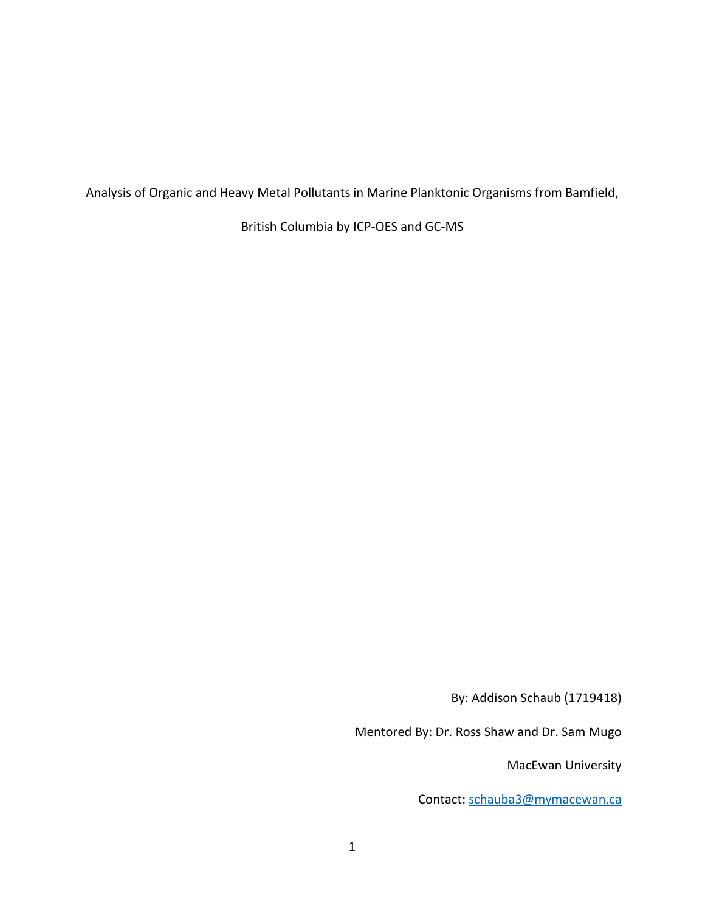Analysis of Organic and Heavy Metal Pollutants in Marine Planktonic Organisms from Bamfield,

British Columbia by ICP-OES and GC-MS

By: Addison Schaub (1719418)

Mentored By: Dr. Ross Shaw and Dr. Sam Mugo

MacEwan University

Contact: [schauba3@mymacewan.ca](mailto:schauba3@mymacewan.ca)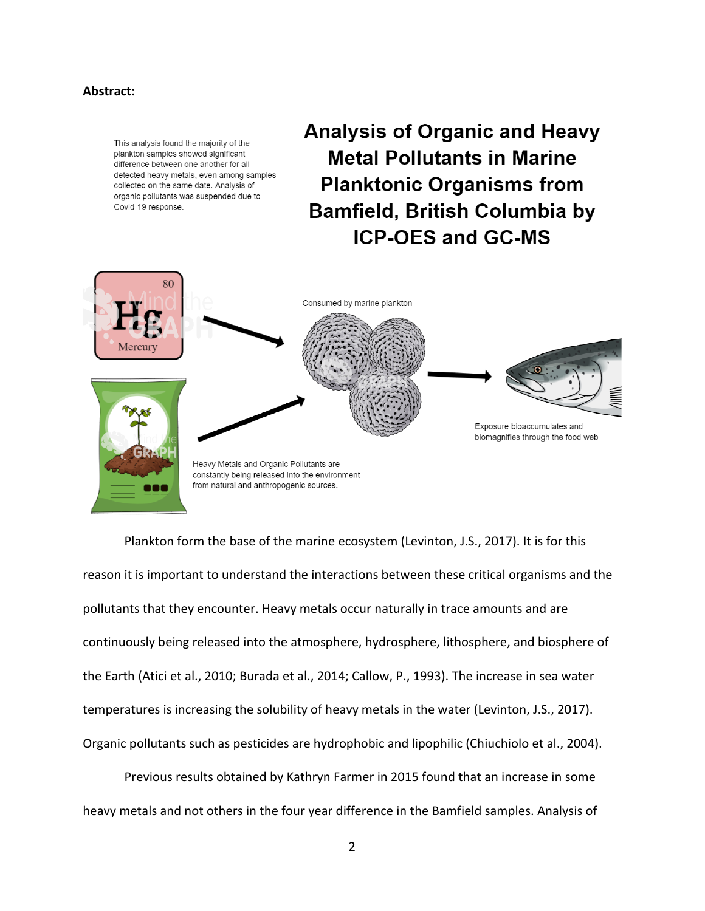# **Abstract:**



Plankton form the base of the marine ecosystem (Levinton, J.S., 2017). It is for this reason it is important to understand the interactions between these critical organisms and the pollutants that they encounter. Heavy metals occur naturally in trace amounts and are continuously being released into the atmosphere, hydrosphere, lithosphere, and biosphere of the Earth (Atici et al., 2010; Burada et al., 2014; Callow, P., 1993). The increase in sea water temperatures is increasing the solubility of heavy metals in the water (Levinton, J.S., 2017). Organic pollutants such as pesticides are hydrophobic and lipophilic (Chiuchiolo et al., 2004).

Previous results obtained by Kathryn Farmer in 2015 found that an increase in some heavy metals and not others in the four year difference in the Bamfield samples. Analysis of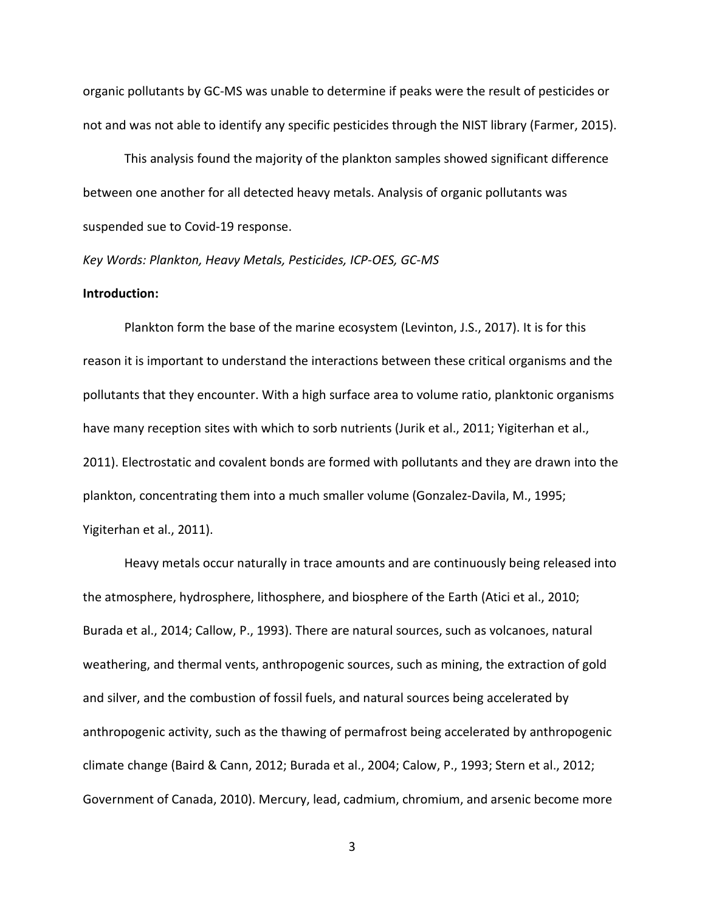organic pollutants by GC-MS was unable to determine if peaks were the result of pesticides or not and was not able to identify any specific pesticides through the NIST library (Farmer, 2015).

This analysis found the majority of the plankton samples showed significant difference between one another for all detected heavy metals. Analysis of organic pollutants was suspended sue to Covid-19 response.

*Key Words: Plankton, Heavy Metals, Pesticides, ICP-OES, GC-MS*

#### **Introduction:**

Plankton form the base of the marine ecosystem (Levinton, J.S., 2017). It is for this reason it is important to understand the interactions between these critical organisms and the pollutants that they encounter. With a high surface area to volume ratio, planktonic organisms have many reception sites with which to sorb nutrients (Jurik et al., 2011; Yigiterhan et al., 2011). Electrostatic and covalent bonds are formed with pollutants and they are drawn into the plankton, concentrating them into a much smaller volume (Gonzalez-Davila, M., 1995; Yigiterhan et al., 2011).

Heavy metals occur naturally in trace amounts and are continuously being released into the atmosphere, hydrosphere, lithosphere, and biosphere of the Earth (Atici et al., 2010; Burada et al., 2014; Callow, P., 1993). There are natural sources, such as volcanoes, natural weathering, and thermal vents, anthropogenic sources, such as mining, the extraction of gold and silver, and the combustion of fossil fuels, and natural sources being accelerated by anthropogenic activity, such as the thawing of permafrost being accelerated by anthropogenic climate change (Baird & Cann, 2012; Burada et al., 2004; Calow, P., 1993; Stern et al., 2012; Government of Canada, 2010). Mercury, lead, cadmium, chromium, and arsenic become more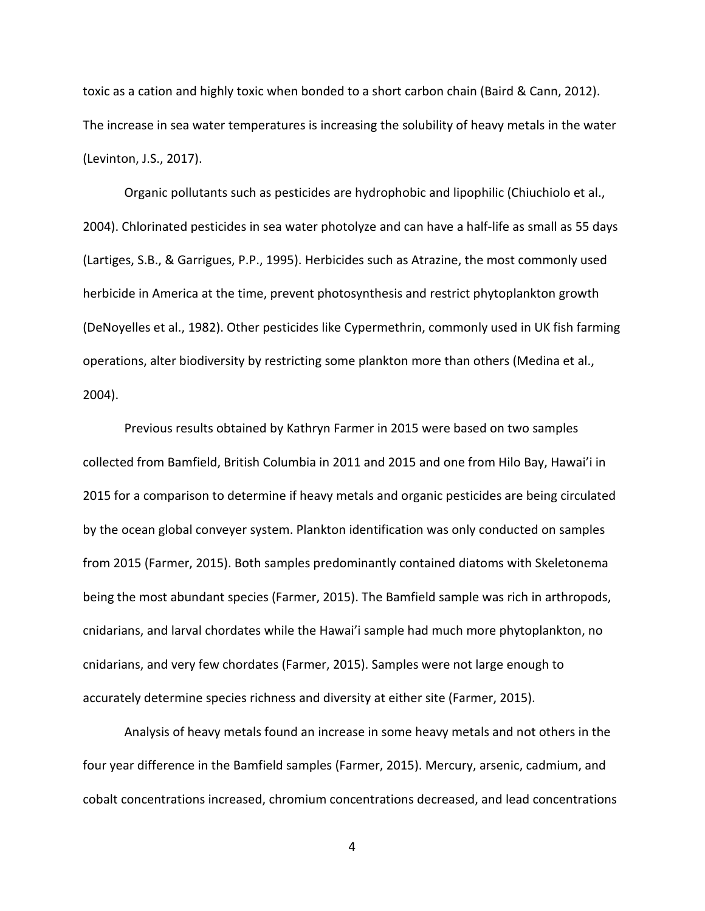toxic as a cation and highly toxic when bonded to a short carbon chain (Baird & Cann, 2012). The increase in sea water temperatures is increasing the solubility of heavy metals in the water (Levinton, J.S., 2017).

Organic pollutants such as pesticides are hydrophobic and lipophilic (Chiuchiolo et al., 2004). Chlorinated pesticides in sea water photolyze and can have a half-life as small as 55 days (Lartiges, S.B., & Garrigues, P.P., 1995). Herbicides such as Atrazine, the most commonly used herbicide in America at the time, prevent photosynthesis and restrict phytoplankton growth (DeNoyelles et al., 1982). Other pesticides like Cypermethrin, commonly used in UK fish farming operations, alter biodiversity by restricting some plankton more than others (Medina et al., 2004).

Previous results obtained by Kathryn Farmer in 2015 were based on two samples collected from Bamfield, British Columbia in 2011 and 2015 and one from Hilo Bay, Hawai'i in 2015 for a comparison to determine if heavy metals and organic pesticides are being circulated by the ocean global conveyer system. Plankton identification was only conducted on samples from 2015 (Farmer, 2015). Both samples predominantly contained diatoms with Skeletonema being the most abundant species (Farmer, 2015). The Bamfield sample was rich in arthropods, cnidarians, and larval chordates while the Hawai'i sample had much more phytoplankton, no cnidarians, and very few chordates (Farmer, 2015). Samples were not large enough to accurately determine species richness and diversity at either site (Farmer, 2015).

Analysis of heavy metals found an increase in some heavy metals and not others in the four year difference in the Bamfield samples (Farmer, 2015). Mercury, arsenic, cadmium, and cobalt concentrations increased, chromium concentrations decreased, and lead concentrations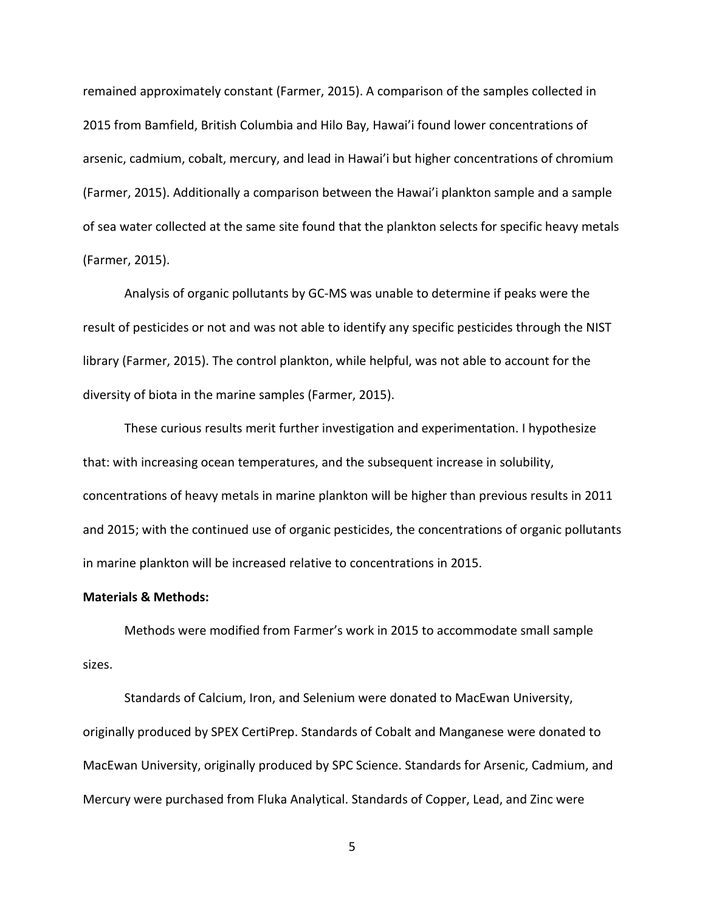remained approximately constant (Farmer, 2015). A comparison of the samples collected in 2015 from Bamfield, British Columbia and Hilo Bay, Hawai'i found lower concentrations of arsenic, cadmium, cobalt, mercury, and lead in Hawai'i but higher concentrations of chromium (Farmer, 2015). Additionally a comparison between the Hawai'i plankton sample and a sample of sea water collected at the same site found that the plankton selects for specific heavy metals (Farmer, 2015).

Analysis of organic pollutants by GC-MS was unable to determine if peaks were the result of pesticides or not and was not able to identify any specific pesticides through the NIST library (Farmer, 2015). The control plankton, while helpful, was not able to account for the diversity of biota in the marine samples (Farmer, 2015).

These curious results merit further investigation and experimentation. I hypothesize that: with increasing ocean temperatures, and the subsequent increase in solubility, concentrations of heavy metals in marine plankton will be higher than previous results in 2011 and 2015; with the continued use of organic pesticides, the concentrations of organic pollutants in marine plankton will be increased relative to concentrations in 2015.

## **Materials & Methods:**

Methods were modified from Farmer's work in 2015 to accommodate small sample sizes.

Standards of Calcium, Iron, and Selenium were donated to MacEwan University, originally produced by SPEX CertiPrep. Standards of Cobalt and Manganese were donated to MacEwan University, originally produced by SPC Science. Standards for Arsenic, Cadmium, and Mercury were purchased from Fluka Analytical. Standards of Copper, Lead, and Zinc were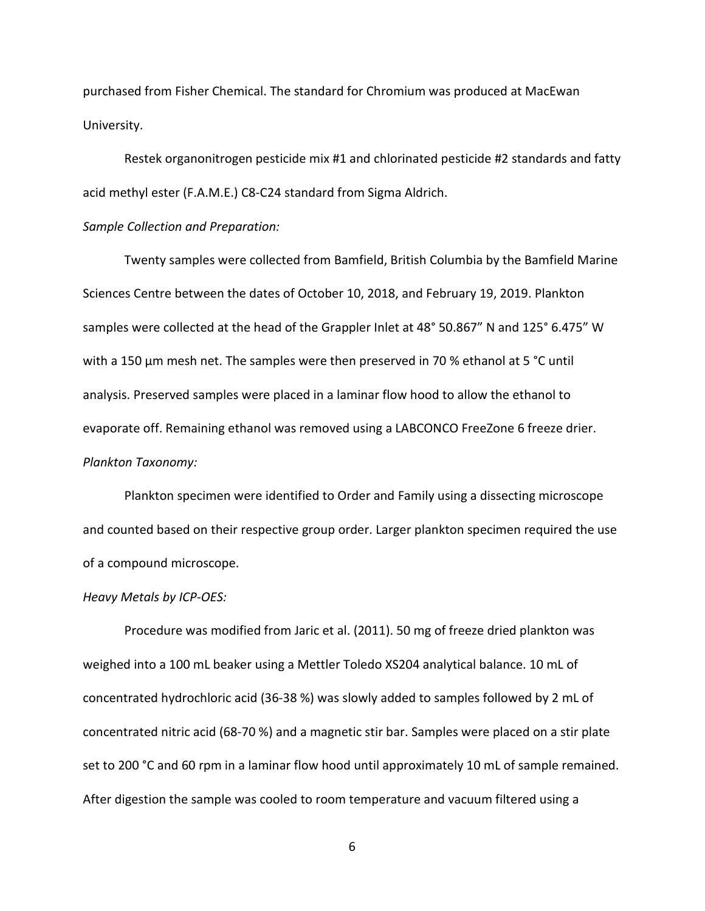purchased from Fisher Chemical. The standard for Chromium was produced at MacEwan University.

Restek organonitrogen pesticide mix #1 and chlorinated pesticide #2 standards and fatty acid methyl ester (F.A.M.E.) C8-C24 standard from Sigma Aldrich.

# *Sample Collection and Preparation:*

Twenty samples were collected from Bamfield, British Columbia by the Bamfield Marine Sciences Centre between the dates of October 10, 2018, and February 19, 2019. Plankton samples were collected at the head of the Grappler Inlet at 48° 50.867" N and 125° 6.475" W with a 150 µm mesh net. The samples were then preserved in 70 % ethanol at 5 °C until analysis. Preserved samples were placed in a laminar flow hood to allow the ethanol to evaporate off. Remaining ethanol was removed using a LABCONCO FreeZone 6 freeze drier. *Plankton Taxonomy:*

Plankton specimen were identified to Order and Family using a dissecting microscope and counted based on their respective group order. Larger plankton specimen required the use of a compound microscope.

## *Heavy Metals by ICP-OES:*

Procedure was modified from Jaric et al. (2011). 50 mg of freeze dried plankton was weighed into a 100 mL beaker using a Mettler Toledo XS204 analytical balance. 10 mL of concentrated hydrochloric acid (36-38 %) was slowly added to samples followed by 2 mL of concentrated nitric acid (68-70 %) and a magnetic stir bar. Samples were placed on a stir plate set to 200 °C and 60 rpm in a laminar flow hood until approximately 10 mL of sample remained. After digestion the sample was cooled to room temperature and vacuum filtered using a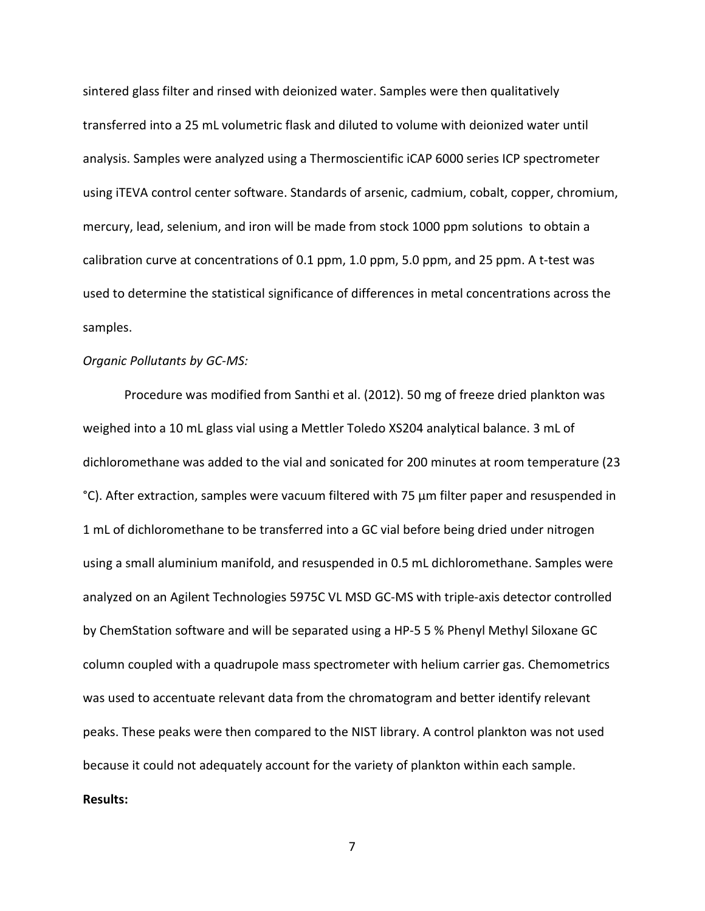sintered glass filter and rinsed with deionized water. Samples were then qualitatively transferred into a 25 mL volumetric flask and diluted to volume with deionized water until analysis. Samples were analyzed using a Thermoscientific iCAP 6000 series ICP spectrometer using iTEVA control center software. Standards of arsenic, cadmium, cobalt, copper, chromium, mercury, lead, selenium, and iron will be made from stock 1000 ppm solutions to obtain a calibration curve at concentrations of 0.1 ppm, 1.0 ppm, 5.0 ppm, and 25 ppm. A t-test was used to determine the statistical significance of differences in metal concentrations across the samples.

#### *Organic Pollutants by GC-MS:*

Procedure was modified from Santhi et al. (2012). 50 mg of freeze dried plankton was weighed into a 10 mL glass vial using a Mettler Toledo XS204 analytical balance. 3 mL of dichloromethane was added to the vial and sonicated for 200 minutes at room temperature (23 °C). After extraction, samples were vacuum filtered with 75 µm filter paper and resuspended in 1 mL of dichloromethane to be transferred into a GC vial before being dried under nitrogen using a small aluminium manifold, and resuspended in 0.5 mL dichloromethane. Samples were analyzed on an Agilent Technologies 5975C VL MSD GC-MS with triple-axis detector controlled by ChemStation software and will be separated using a HP-5 5 % Phenyl Methyl Siloxane GC column coupled with a quadrupole mass spectrometer with helium carrier gas. Chemometrics was used to accentuate relevant data from the chromatogram and better identify relevant peaks. These peaks were then compared to the NIST library. A control plankton was not used because it could not adequately account for the variety of plankton within each sample. **Results:**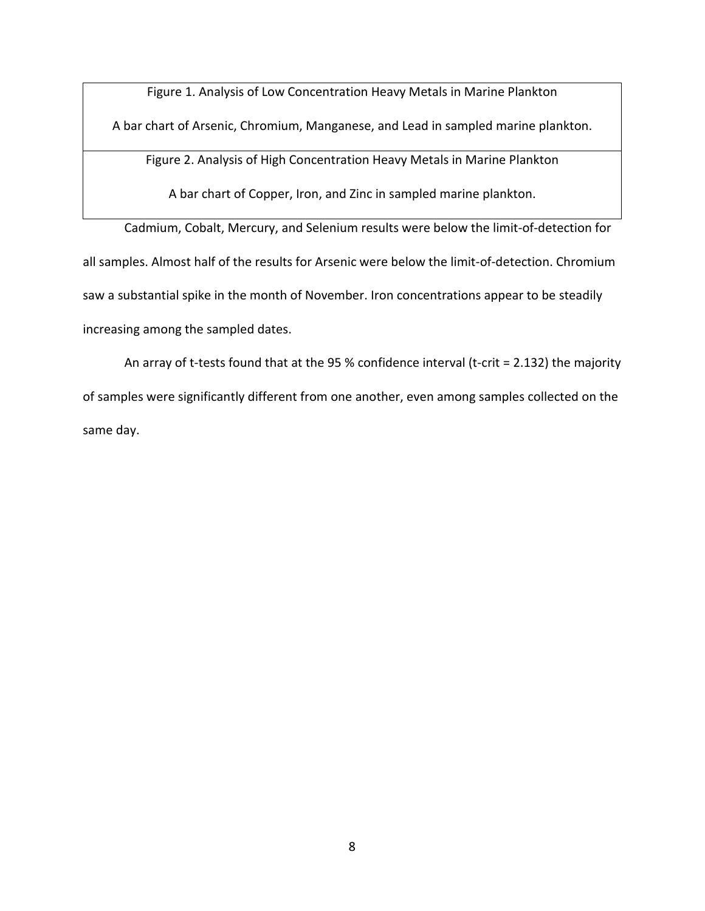Figure 1. Analysis of Low Concentration Heavy Metals in Marine Plankton

A bar chart of Arsenic, Chromium, Manganese, and Lead in sampled marine plankton.

Figure 2. Analysis of High Concentration Heavy Metals in Marine Plankton

A bar chart of Copper, Iron, and Zinc in sampled marine plankton.

Cadmium, Cobalt, Mercury, and Selenium results were below the limit-of-detection for all samples. Almost half of the results for Arsenic were below the limit-of-detection. Chromium saw a substantial spike in the month of November. Iron concentrations appear to be steadily increasing among the sampled dates.

An array of t-tests found that at the 95 % confidence interval (t-crit = 2.132) the majority of samples were significantly different from one another, even among samples collected on the same day.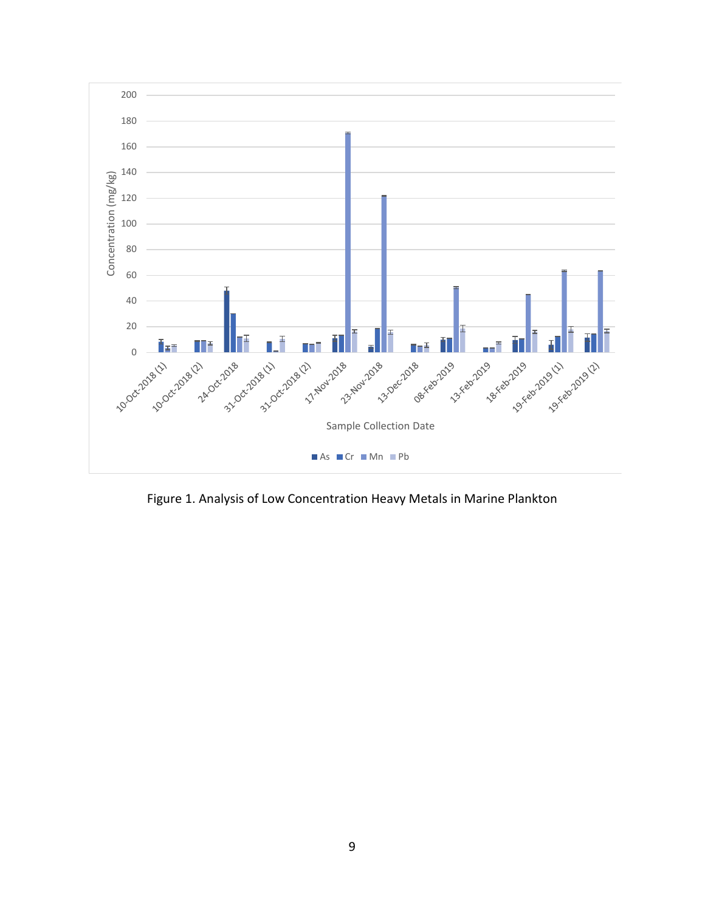

Figure 1. Analysis of Low Concentration Heavy Metals in Marine Plankton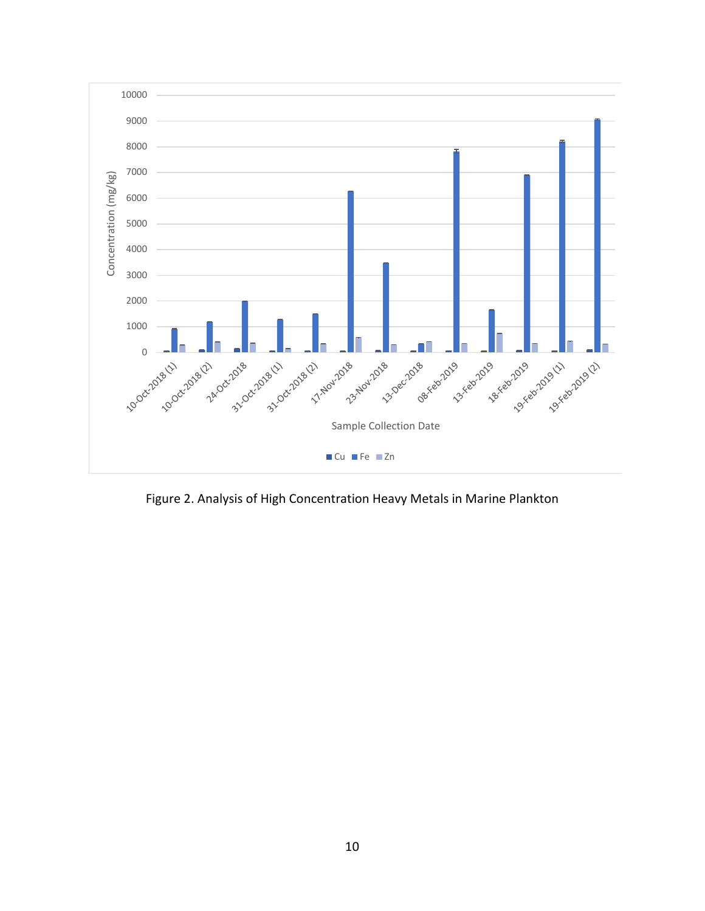

Figure 2. Analysis of High Concentration Heavy Metals in Marine Plankton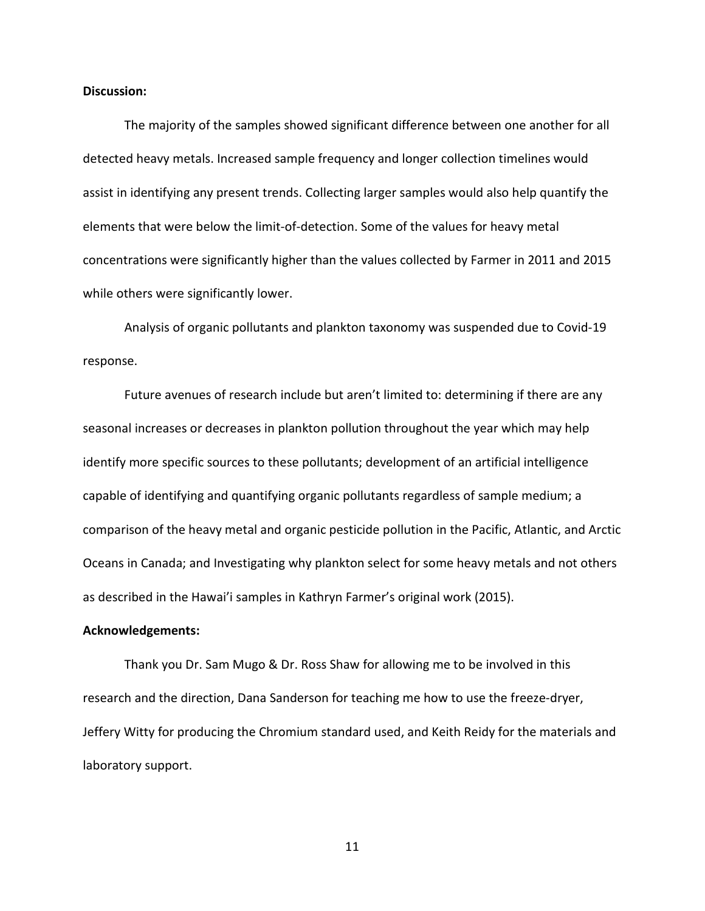## **Discussion:**

The majority of the samples showed significant difference between one another for all detected heavy metals. Increased sample frequency and longer collection timelines would assist in identifying any present trends. Collecting larger samples would also help quantify the elements that were below the limit-of-detection. Some of the values for heavy metal concentrations were significantly higher than the values collected by Farmer in 2011 and 2015 while others were significantly lower.

Analysis of organic pollutants and plankton taxonomy was suspended due to Covid-19 response.

Future avenues of research include but aren't limited to: determining if there are any seasonal increases or decreases in plankton pollution throughout the year which may help identify more specific sources to these pollutants; development of an artificial intelligence capable of identifying and quantifying organic pollutants regardless of sample medium; a comparison of the heavy metal and organic pesticide pollution in the Pacific, Atlantic, and Arctic Oceans in Canada; and Investigating why plankton select for some heavy metals and not others as described in the Hawai'i samples in Kathryn Farmer's original work (2015).

#### **Acknowledgements:**

Thank you Dr. Sam Mugo & Dr. Ross Shaw for allowing me to be involved in this research and the direction, Dana Sanderson for teaching me how to use the freeze-dryer, Jeffery Witty for producing the Chromium standard used, and Keith Reidy for the materials and laboratory support.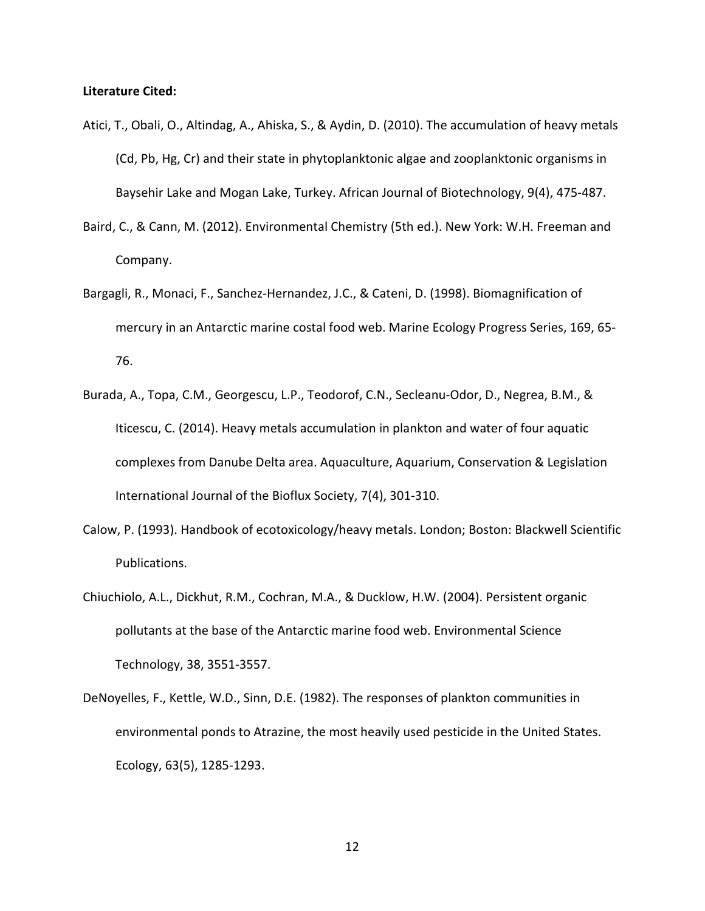## **Literature Cited:**

- Atici, T., Obali, O., Altindag, A., Ahiska, S., & Aydin, D. (2010). The accumulation of heavy metals (Cd, Pb, Hg, Cr) and their state in phytoplanktonic algae and zooplanktonic organisms in Baysehir Lake and Mogan Lake, Turkey. African Journal of Biotechnology, 9(4), 475-487.
- Baird, C., & Cann, M. (2012). Environmental Chemistry (5th ed.). New York: W.H. Freeman and Company.
- Bargagli, R., Monaci, F., Sanchez-Hernandez, J.C., & Cateni, D. (1998). Biomagnification of mercury in an Antarctic marine costal food web. Marine Ecology Progress Series, 169, 65- 76.
- Burada, A., Topa, C.M., Georgescu, L.P., Teodorof, C.N., Secleanu-Odor, D., Negrea, B.M., & Iticescu, C. (2014). Heavy metals accumulation in plankton and water of four aquatic complexes from Danube Delta area. Aquaculture, Aquarium, Conservation & Legislation International Journal of the Bioflux Society, 7(4), 301-310.
- Calow, P. (1993). Handbook of ecotoxicology/heavy metals. London; Boston: Blackwell Scientific Publications.
- Chiuchiolo, A.L., Dickhut, R.M., Cochran, M.A., & Ducklow, H.W. (2004). Persistent organic pollutants at the base of the Antarctic marine food web. Environmental Science Technology, 38, 3551-3557.
- DeNoyelles, F., Kettle, W.D., Sinn, D.E. (1982). The responses of plankton communities in environmental ponds to Atrazine, the most heavily used pesticide in the United States. Ecology, 63(5), 1285-1293.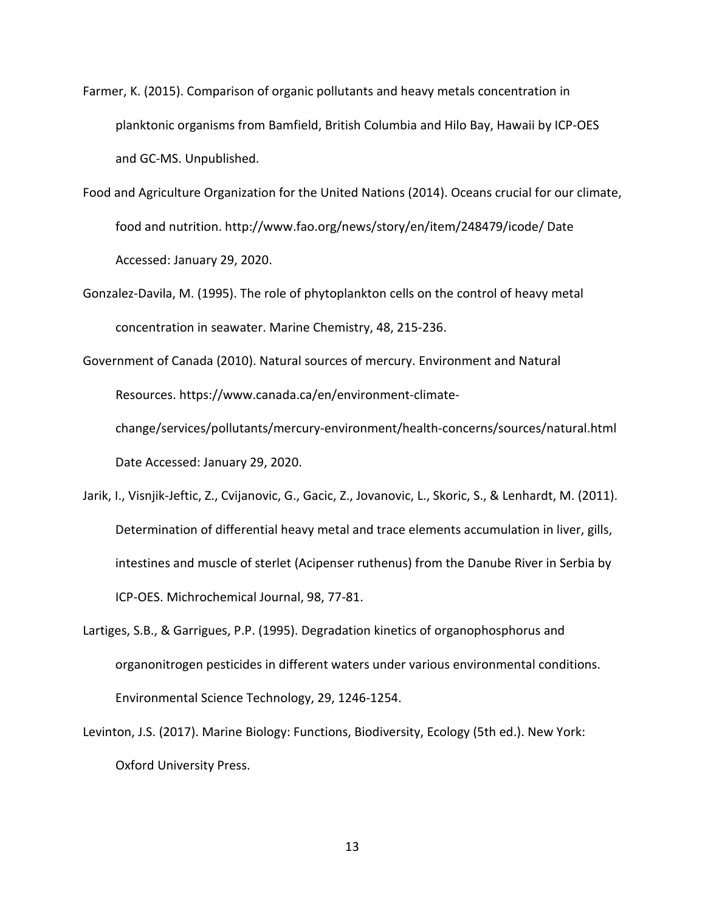- Farmer, K. (2015). Comparison of organic pollutants and heavy metals concentration in planktonic organisms from Bamfield, British Columbia and Hilo Bay, Hawaii by ICP-OES and GC-MS. Unpublished.
- Food and Agriculture Organization for the United Nations (2014). Oceans crucial for our climate, food and nutrition. http://www.fao.org/news/story/en/item/248479/icode/ Date Accessed: January 29, 2020.
- Gonzalez-Davila, M. (1995). The role of phytoplankton cells on the control of heavy metal concentration in seawater. Marine Chemistry, 48, 215-236.
- Government of Canada (2010). Natural sources of mercury. Environment and Natural Resources. https://www.canada.ca/en/environment-climatechange/services/pollutants/mercury-environment/health-concerns/sources/natural.html Date Accessed: January 29, 2020.
- Jarik, I., Visnjik-Jeftic, Z., Cvijanovic, G., Gacic, Z., Jovanovic, L., Skoric, S., & Lenhardt, M. (2011). Determination of differential heavy metal and trace elements accumulation in liver, gills, intestines and muscle of sterlet (Acipenser ruthenus) from the Danube River in Serbia by ICP-OES. Michrochemical Journal, 98, 77-81.
- Lartiges, S.B., & Garrigues, P.P. (1995). Degradation kinetics of organophosphorus and organonitrogen pesticides in different waters under various environmental conditions. Environmental Science Technology, 29, 1246-1254.
- Levinton, J.S. (2017). Marine Biology: Functions, Biodiversity, Ecology (5th ed.). New York: Oxford University Press.